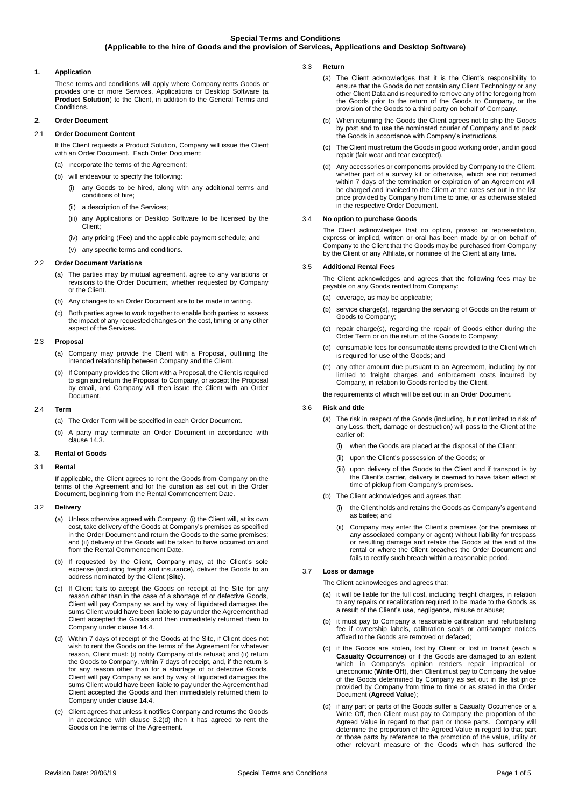## **Special Terms and Conditions (Applicable to the hire of Goods and the provision of Services, Applications and Desktop Software)**

## **1. Application**

These terms and conditions will apply where Company rents Goods or provides one or more Services, Applications or Desktop Software (a **Product Solution**) to the Client, in addition to the General Terms and **Conditions** 

## **2. Order Document**

## 2.1 **Order Document Content**

If the Client requests a Product Solution, Company will issue the Client with an Order Document. Each Order Document:

- (a) incorporate the terms of the Agreement; (b) will endeavour to specify the following:
	- (i) any Goods to be hired, along with any additional terms and conditions of hire;
	- (ii) a description of the Services;
	- (iii) any Applications or Desktop Software to be licensed by the Client;
	- (iv) any pricing (**Fee**) and the applicable payment schedule; and
- (v) any specific terms and conditions.

#### 2.2 **Order Document Variations**

- (a) The parties may by mutual agreement, agree to any variations or revisions to the Order Document, whether requested by Company or the Client.
- (b) Any changes to an Order Document are to be made in writing.
- (c) Both parties agree to work together to enable both parties to assess the impact of any requested changes on the cost, timing or any other aspect of the Services.

## 2.3 **Proposal**

- (a) Company may provide the Client with a Proposal, outlining the intended relationship between Company and the Client.
- If Company provides the Client with a Proposal, the Client is required to sign and return the Proposal to Company, or accept the Proposal by email, and Company will then issue the Client with an Order Document.

### 2.4 **Term**

- (a) The Order Term will be specified in each Order Document.
- (b) A party may terminate an Order Document in accordance with clause [14.3.](#page-2-0)

#### **3. Rental of Goods**

### 3.1 **Rental**

If applicable, the Client agrees to rent the Goods from Company on the terms of the Agreement and for the duration as set out in the Order Document, beginning from the Rental Commencement Date.

### 3.2 **Delivery**

- (a) Unless otherwise agreed with Company: (i) the Client will, at its own cost, take delivery of the Goods at Company's premises as specified in the Order Document and return the Goods to the same premises; and (ii) delivery of the Goods will be taken to have occurred on and from the Rental Commencement Date.
- (b) If requested by the Client, Company may, at the Client's sole expense (including freight and insurance), deliver the Goods to an address nominated by the Client (**Site**).
- (c) If Client fails to accept the Goods on receipt at the Site for any reason other than in the case of a shortage of or defective Goods, Client will pay Company as and by way of liquidated damages the sums Client would have been liable to pay under the Agreement had Client accepted the Goods and then immediately returned them to Company under clause [14.4.](#page-2-1)
- <span id="page-0-0"></span>(d) Within 7 days of receipt of the Goods at the Site, if Client does not wish to rent the Goods on the terms of the Agreement for whatever reason, Client must: (i) notify Company of its refusal; and (ii) return the Goods to Company, within 7 days of receipt, and, if the return is for any reason other than for a shortage of or defective Goods, Client will pay Company as and by way of liquidated damages the sums Client would have been liable to pay under the Agreement had Client accepted the Goods and then immediately returned them to Company under claus[e 14.4.](#page-2-1)
- (e) Client agrees that unless it notifies Company and returns the Goods in accordance with clause [3.2\(d\)](#page-0-0) then it has agreed to rent the Goods on the terms of the Agreement.
- 3.3 **Return** 
	- (a) The Client acknowledges that it is the Client's responsibility to ensure that the Goods do not contain any Client Technology or any other Client Data and is required to remove any of the foregoing from the Goods prior to the return of the Goods to Company, or the provision of the Goods to a third party on behalf of Company.
	- (b) When returning the Goods the Client agrees not to ship the Goods by post and to use the nominated courier of Company and to pack the Goods in accordance with Company's instructions.
	- (c) The Client must return the Goods in good working order, and in good repair (fair wear and tear excepted).
	- (d) Any accessories or components provided by Company to the Client, whether part of a survey kit or otherwise, which are not returned within 7 days of the termination or expiration of an Agreement will be charged and invoiced to the Client at the rates set out in the list price provided by Company from time to time, or as otherwise stated in the respective Order Document.

### <span id="page-0-3"></span>3.4 **No option to purchase Goods**

The Client acknowledges that no option, proviso or representation, express or implied, written or oral has been made by or on behalf of Company to the Client that the Goods may be purchased from Company by the Client or any Affiliate, or nominee of the Client at any time.

## 3.5 **Additional Rental Fees**

The Client acknowledges and agrees that the following fees may be payable on any Goods rented from Company:

- (a) coverage, as may be applicable;
- (b) service charge(s), regarding the servicing of Goods on the return of Goods to Company;
- (c) repair charge(s), regarding the repair of Goods either during the Order Term or on the return of the Goods to Company;
- (d) consumable fees for consumable items provided to the Client which is required for use of the Goods; and
- (e) any other amount due pursuant to an Agreement, including by not limited to freight charges and enforcement costs incurred by Company, in relation to Goods rented by the Client,

the requirements of which will be set out in an Order Document.

#### 3.6 **Risk and title**

- (a) The risk in respect of the Goods (including, but not limited to risk of any Loss, theft, damage or destruction) will pass to the Client at the earlier of:
	- (i) when the Goods are placed at the disposal of the Client;
	- (ii) upon the Client's possession of the Goods; or
	- (iii) upon delivery of the Goods to the Client and if transport is by the Client's carrier, delivery is deemed to have taken effect at time of pickup from Company's premises.
- (b) The Client acknowledges and agrees that:
	- (i) the Client holds and retains the Goods as Company's agent and as bailee; and
	- (ii) Company may enter the Client's premises (or the premises of any associated company or agent) without liability for trespass or resulting damage and retake the Goods at the end of the rental or where the Client breaches the Order Document and fails to rectify such breach within a reasonable period.

# 3.7 **Loss or damage**

- The Client acknowledges and agrees that:
- (a) it will be liable for the full cost, including freight charges, in relation to any repairs or recalibration required to be made to the Goods as a result of the Client's use, negligence, misuse or abuse;
- (b) it must pay to Company a reasonable calibration and refurbishing fee if ownership labels, calibration seals or anti-tamper notices affixed to the Goods are removed or defaced;
- <span id="page-0-1"></span>(c) if the Goods are stolen, lost by Client or lost in transit (each a **Casualty Occurrence**) or if the Goods are damaged to an extent which in Company's opinion renders repair impractical or uneconomic (**Write Off**), then Client must pay to Company the value of the Goods determined by Company as set out in the list price provided by Company from time to time or as stated in the Order Document (**Agreed Value**);
- <span id="page-0-2"></span>(d) if any part or parts of the Goods suffer a Casualty Occurrence or a Write Off, then Client must pay to Company the proportion of the Agreed Value in regard to that part or those parts. Company will determine the proportion of the Agreed Value in regard to that part or those parts by reference to the promotion of the value, utility or other relevant measure of the Goods which has suffered the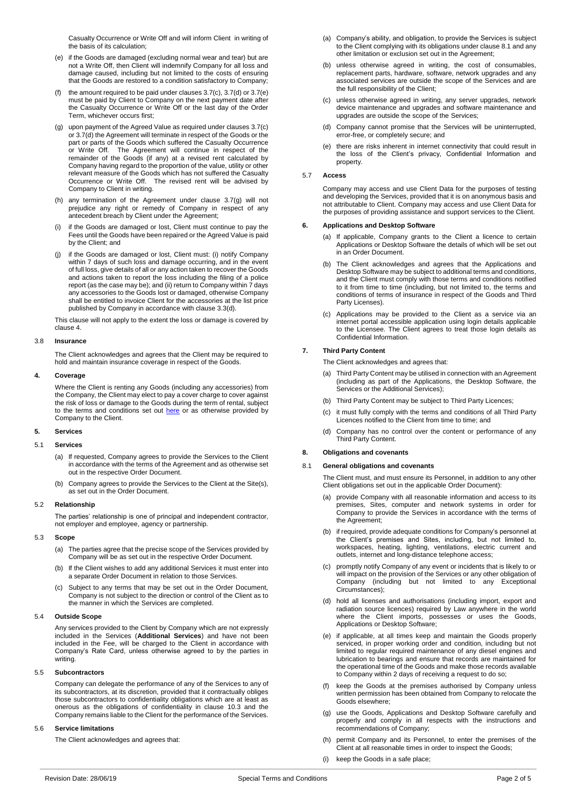Casualty Occurrence or Write Off and will inform Client in writing of the basis of its calculation;

- <span id="page-1-0"></span>(e) if the Goods are damaged (excluding normal wear and tear) but are not a Write Off, then Client will indemnify Company for all loss and damage caused, including but not limited to the costs of ensuring that the Goods are restored to a condition satisfactory to Company;
- (f) the amount required to be paid under clauses  $3.7(c)$ ,  $3.7(d)$  or  $3.7(e)$ must be paid by Client to Company on the next payment date after the Casualty Occurrence or Write Off or the last day of the Order Term, whichever occurs first;
- <span id="page-1-1"></span>(g) upon payment of the Agreed Value as required under clause[s 3.7\(c\)](#page-0-1) o[r 3.7\(d\)](#page-0-2) the Agreement will terminate in respect of the Goods or the part or parts of the Goods which suffered the Casualty Occurrence or Write Off. The Agreement will continue in respect of the remainder of the Goods (if any) at a revised rent calculated by Company having regard to the proportion of the value, utility or other relevant measure of the Goods which has not suffered the Casualty Occurrence or Write Off. The revised rent will be advised by Company to Client in writing.
- (h) any termination of the Agreement under clause [3.7\(g\)](#page-1-1) will not prejudice any right or remedy of Company in respect of any antecedent breach by Client under the Agreement;
- (i) if the Goods are damaged or lost, Client must continue to pay the Fees until the Goods have been repaired or the Agreed Value is paid by the Client; and
- <span id="page-1-6"></span>if the Goods are damaged or lost, Client must: (i) notify Company within 7 days of such loss and damage occurring, and in the event of full loss, give details of all or any action taken to recover the Goods and actions taken to report the loss including the filing of a police report (as the case may be); and (ii) return to Company within 7 days any accessories to the Goods lost or damaged, otherwise Company shall be entitled to invoice Client for the accessories at the list price published by Company in accordance with claus[e 3.3\(d\).](#page-0-3)

This clause will not apply to the extent the loss or damage is covered by claus[e 4.](#page-1-2)

#### 3.8 **Insurance**

The Client acknowledges and agrees that the Client may be required to hold and maintain insurance coverage in respect of the Goods.

#### <span id="page-1-2"></span>**4. Coverage**

Where the Client is renting any Goods (including any accessories) from the Company, the Client may elect to pay a cover charge to cover against the risk of loss or damage to the Goods during the term of rental, subject to the terms and conditions set out [here](https://www.imdexlimited.com/media/home/Coverage-Summary-September-2018.pdf) or as otherwise provided by Company to the Client.

### **5. Services**

#### 5.1 **Services**

- (a) If requested, Company agrees to provide the Services to the Client in accordance with the terms of the Agreement and as otherwise set out in the respective Order Document.
- (b) Company agrees to provide the Services to the Client at the Site(s), as set out in the Order Document.

#### 5.2 **Relationship**

The parties' relationship is one of principal and independent contractor, not employer and employee, agency or partnership.

#### 5.3 **Scope**

- (a) The parties agree that the precise scope of the Services provided by Company will be as set out in the respective Order Document.
- (b) If the Client wishes to add any additional Services it must enter into a separate Order Document in relation to those Services.
- (c) Subject to any terms that may be set out in the Order Document, Company is not subject to the direction or control of the Client as to the manner in which the Services are completed.

#### 5.4 **Outside Scope**

Any services provided to the Client by Company which are not expressly included in the Services (**Additional Services**) and have not been included in the Fee, will be charged to the Client in accordance with Company's Rate Card, unless otherwise agreed to by the parties in writing

#### 5.5 **Subcontractors**

Company can delegate the performance of any of the Services to any of its subcontractors, at its discretion, provided that it contractually obliges those subcontractors to confidentiality obligations which are at least as onerous as the obligations of confidentiality in clause [10.3](#page-2-2) and the Company remains liable to the Client for the performance of the Services.

#### 5.6 **Service limitations**

The Client acknowledges and agrees that:

- (a) Company's ability, and obligation, to provide the Services is subject to the Client complying with its obligations under claus[e 8.1](#page-1-3) and any other limitation or exclusion set out in the Agreement;
- (b) unless otherwise agreed in writing, the cost of consumables replacement parts, hardware, software, network upgrades and any associated services are outside the scope of the Services and are the full responsibility of the Client;
- (c) unless otherwise agreed in writing, any server upgrades, network device maintenance and upgrades and software maintenance and upgrades are outside the scope of the Services;
- (d) Company cannot promise that the Services will be uninterrupted, error-free, or completely secure; and
- (e) there are risks inherent in internet connectivity that could result in the loss of the Client's privacy, Confidential Information and property.

## 5.7 **Access**

Company may access and use Client Data for the purposes of testing and developing the Services, provided that it is on anonymous basis and not attributable to Client. Company may access and use Client Data for the purposes of providing assistance and support services to the Client.

#### **6. Applications and Desktop Software**

- (a) If applicable, Company grants to the Client a licence to certain Applications or Desktop Software the details of which will be set out in an Order Document.
- (b) The Client acknowledges and agrees that the Applications and Desktop Software may be subject to additional terms and conditions, and the Client must comply with those terms and conditions notified to it from time to time (including, but not limited to, the terms and conditions of terms of insurance in respect of the Goods and Third Party Licenses).
- (c) Applications may be provided to the Client as a service via an internet portal accessible application using login details applicable to the Licensee. The Client agrees to treat those login details as Confidential Information.

## **7. Third Party Content**

The Client acknowledges and agrees that:

- (a) Third Party Content may be utilised in connection with an Agreement (including as part of the Applications, the Desktop Software, the Services or the Additional Services);
- (b) Third Party Content may be subject to Third Party Licences;
- (c) it must fully comply with the terms and conditions of all Third Party Licences notified to the Client from time to time; and
- (d) Company has no control over the content or performance of any Third Party Content.

## **8. Obligations and covenants**

#### <span id="page-1-3"></span>8.1 **General obligations and covenants**

The Client must, and must ensure its Personnel, in addition to any other Client obligations set out in the applicable Order Document):

- (a) provide Company with all reasonable information and access to its premises, Sites, computer and network systems in order for Company to provide the Services in accordance with the terms of the Agreement;
- (b) if required, provide adequate conditions for Company's personnel at the Client's premises and Sites, including, but not limited to, workspaces, heating, lighting, ventilations, electric current and outlets, internet and long-distance telephone access;
- (c) promptly notify Company of any event or incidents that is likely to or will impact on the provision of the Services or any other obligation of Company (including but not limited to any Exceptional Circumstances);
- <span id="page-1-4"></span>(d) hold all licenses and authorisations (including import, export and radiation source licences) required by Law anywhere in the world where the Client imports, possesses or uses the Goods, Applications or Desktop Software;
- <span id="page-1-5"></span>(e) if applicable, at all times keep and maintain the Goods properly serviced, in proper working order and condition, including but not limited to regular required maintenance of any diesel engines and lubrication to bearings and ensure that records are maintained for the operational time of the Goods and make those records available to Company within 2 days of receiving a request to do so;
- (f) keep the Goods at the premises authorised by Company unless written permission has been obtained from Company to relocate the Goods elsewhere;
- (g) use the Goods, Applications and Desktop Software carefully and properly and comply in all respects with the instructions and recommendations of Company;
- (h) permit Company and its Personnel, to enter the premises of the Client at all reasonable times in order to inspect the Goods;
- (i) keep the Goods in a safe place;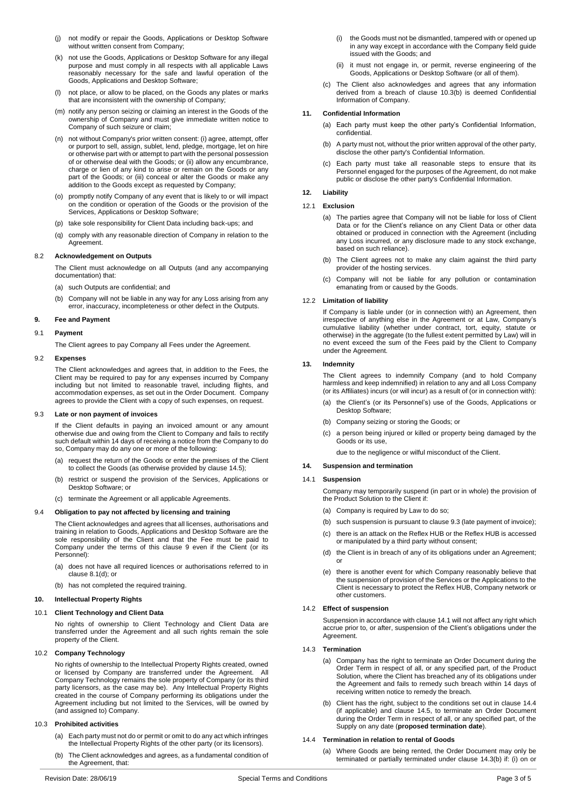- (j) not modify or repair the Goods, Applications or Desktop Software without written consent from Company;
- (k) not use the Goods, Applications or Desktop Software for any illegal purpose and must comply in all respects with all applicable Laws reasonably necessary for the safe and lawful operation of the Goods, Applications and Desktop Software;
- (l) not place, or allow to be placed, on the Goods any plates or marks that are inconsistent with the ownership of Company;
- (m) notify any person seizing or claiming an interest in the Goods of the ownership of Company and must give immediate written notice to Company of such seizure or claim;
- (n) not without Company's prior written consent: (i) agree, attempt, offer or purport to sell, assign, sublet, lend, pledge, mortgage, let on hire or otherwise part with or attempt to part with the personal possession of or otherwise deal with the Goods; or (ii) allow any encumbrance, charge or lien of any kind to arise or remain on the Goods or any part of the Goods; or (iii) conceal or alter the Goods or make any addition to the Goods except as requested by Company;
- (o) promptly notify Company of any event that is likely to or will impact on the condition or operation of the Goods or the provision of the Services, Applications or Desktop Software;
- (p) take sole responsibility for Client Data including back-ups; and
- (q) comply with any reasonable direction of Company in relation to the Agreement.

### 8.2 **Acknowledgement on Outputs**

The Client must acknowledge on all Outputs (and any accompanying documentation) that:

- (a) such Outputs are confidential; and
- (b) Company will not be liable in any way for any Loss arising from any error, inaccuracy, incompleteness or other defect in the Outputs.

### <span id="page-2-3"></span>**9. Fee and Payment**

### 9.1 **Payment**

The Client agrees to pay Company all Fees under the Agreement.

#### 9.2 **Expenses**

The Client acknowledges and agrees that, in addition to the Fees, the Client may be required to pay for any expenses incurred by Company including but not limited to reasonable travel, including flights, and accommodation expenses, as set out in the Order Document. Company agrees to provide the Client with a copy of such expenses, on request.

#### <span id="page-2-5"></span>9.3 **Late or non payment of invoices**

If the Client defaults in paying an invoiced amount or any amount otherwise due and owing from the Client to Company and fails to rectify such default within 14 days of receiving a notice from the Company to do so, Company may do any one or more of the following:

- (a) request the return of the Goods or enter the premises of the Client to collect the Goods (as otherwise provided by clause [14.5\);](#page-3-0)
- (b) restrict or suspend the provision of the Services, Applications or Desktop Software; or
- (c) terminate the Agreement or all applicable Agreements.

#### 9.4 **Obligation to pay not affected by licensing and training**

The Client acknowledges and agrees that all licenses, authorisations and training in relation to Goods, Applications and Desktop Software are the sole responsibility of the Client and that the Fee must be paid to Company under the terms of this clause [9](#page-2-3) even if the Client (or its Personnel):

- (a) does not have all required licences or authorisations referred to in claus[e 8.1\(d\);](#page-1-4) or
- (b) has not completed the required training.

## <span id="page-2-9"></span>**10. Intellectual Property Rights**

### 10.1 **Client Technology and Client Data**

No rights of ownership to Client Technology and Client Data are transferred under the Agreement and all such rights remain the sole property of the Client.

## 10.2 **Company Technology**

No rights of ownership to the Intellectual Property Rights created, owned or licensed by Company are transferred under the Agreement. All Company Technology remains the sole property of Company (or its third party licensors, as the case may be). Any Intellectual Property Rights created in the course of Company performing its obligations under the Agreement including but not limited to the Services, will be owned by (and assigned to) Company.

### <span id="page-2-2"></span>10.3 **Prohibited activities**

- (a) Each party must not do or permit or omit to do any act which infringes the Intellectual Property Rights of the other party (or its licensors).
- <span id="page-2-4"></span>(b) The Client acknowledges and agrees, as a fundamental condition of the Agreement, that:
- (i) the Goods must not be dismantled, tampered with or opened up in any way except in accordance with the Company field guide issued with the Goods; and
- (ii) it must not engage in, or permit, reverse engineering of the Goods, Applications or Desktop Software (or all of them).
- (c) The Client also acknowledges and agrees that any information derived from a breach of clause [10.3\(b\)](#page-2-4) is deemed Confidential Information of Company.

#### **11. Confidential Information**

- (a) Each party must keep the other party's Confidential Information confidential.
- (b) A party must not, without the prior written approval of the other party, disclose the other party's Confidential Information.
- (c) Each party must take all reasonable steps to ensure that its Personnel engaged for the purposes of the Agreement, do not make public or disclose the other party's Confidential Information.

### <span id="page-2-10"></span>**12. Liability**

#### 12.1 **Exclusion**

- (a) The parties agree that Company will not be liable for loss of Client Data or for the Client's reliance on any Client Data or other data obtained or produced in connection with the Agreement (including any Loss incurred, or any disclosure made to any stock exchange, based on such reliance).
- (b) The Client agrees not to make any claim against the third party provider of the hosting services.
- (c) Company will not be liable for any pollution or contamination emanating from or caused by the Goods.

### 12.2 **Limitation of liability**

If Company is liable under (or in connection with) an Agreement, then irrespective of anything else in the Agreement or at Law, Company's cumulative liability (whether under contract, tort, equity, statute or otherwise) in the aggregate (to the fullest extent permitted by Law) will in no event exceed the sum of the Fees paid by the Client to Company under the Agreement.

### <span id="page-2-11"></span>**13. Indemnity**

The Client agrees to indemnify Company (and to hold Company harmless and keep indemnified) in relation to any and all Loss Company (or its Affiliates) incurs (or will incur) as a result of (or in connection with):

- (a) the Client's (or its Personnel's) use of the Goods, Applications or Desktop Software;
- (b) Company seizing or storing the Goods; or
- (c) a person being injured or killed or property being damaged by the Goods or its use,

due to the negligence or wilful misconduct of the Client.

## **14. Suspension and termination**

### <span id="page-2-6"></span>14.1 **Suspension**

Company may temporarily suspend (in part or in whole) the provision of the Product Solution to the Client if:

- (a) Company is required by Law to do so;
- (b) such suspension is pursuant to claus[e 9.3](#page-2-5) (late payment of invoice);
- (c) there is an attack on the Reflex HUB or the Reflex HUB is accessed or manipulated by a third party without consent;
- (d) the Client is in breach of any of its obligations under an Agreement; or
- (e) there is another event for which Company reasonably believe that the suspension of provision of the Services or the Applications to the Client is necessary to protect the Reflex HUB, Company network or other customers.

#### 14.2 **Effect of suspension**

Suspension in accordance with claus[e 14.1](#page-2-6) will not affect any right which accrue prior to, or after, suspension of the Client's obligations under the Agreement.

#### <span id="page-2-0"></span>14.3 **Termination**

- (a) Company has the right to terminate an Order Document during the Order Term in respect of all, or any specified part, of the Product Solution, where the Client has breached any of its obligations under the Agreement and fails to remedy such breach within 14 days of receiving written notice to remedy the breach.
- <span id="page-2-7"></span>(b) Client has the right, subject to the conditions set out in clause [14.4](#page-2-1) (if applicable) and clause [14.5,](#page-3-0) to terminate an Order Document during the Order Term in respect of all, or any specified part, of the Supply on any date (**proposed termination date**).

### <span id="page-2-8"></span><span id="page-2-1"></span>14.4 **Termination in relation to rental of Goods**

(a) Where Goods are being rented, the Order Document may only be terminated or partially terminated under clause [14.3\(b\)](#page-2-7) if: (i) on or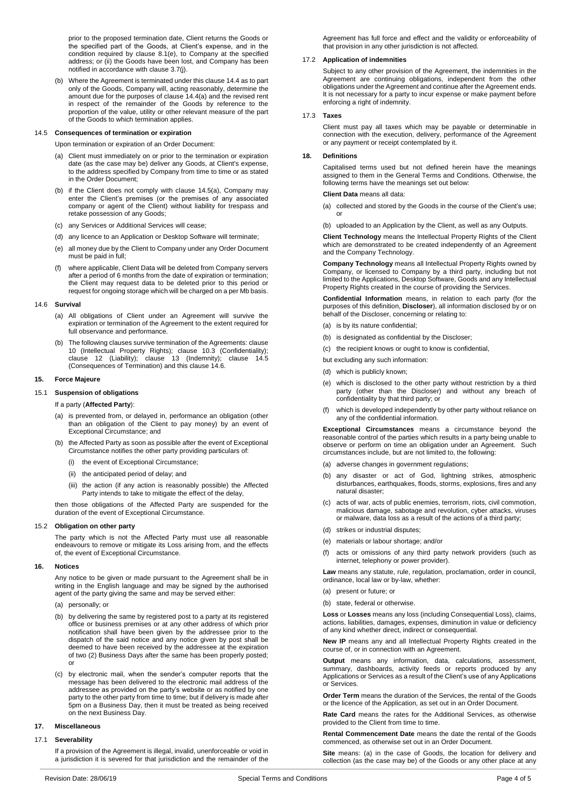prior to the proposed termination date, Client returns the Goods or the specified part of the Goods, at Client's expense, and in the condition required by clause  $8.1(e)$ , to Company at the specified address; or (ii) the Goods have been lost, and Company has been notified in accordance with clause [3.7\(j\).](#page-1-6)

(b) Where the Agreement is terminated under this claus[e 14.4](#page-2-1) as to part only of the Goods, Company will, acting reasonably, determine the amount due for the purposes of claus[e 14.4\(a\)](#page-2-8) and the revised rent in respect of the remainder of the Goods by reference to the proportion of the value, utility or other relevant measure of the part of the Goods to which termination applies.

#### <span id="page-3-0"></span>14.5 **Consequences of termination or expiration**

<span id="page-3-1"></span>Upon termination or expiration of an Order Document:

- (a) Client must immediately on or prior to the termination or expiration date (as the case may be) deliver any Goods, at Client's expense, to the address specified by Company from time to time or as stated in the Order Document;
- (b) if the Client does not comply with clause [14.5\(a\),](#page-3-1) Company may enter the Client's premises (or the premises of any associated company or agent of the Client) without liability for trespass and retake possession of any Goods;
- (c) any Services or Additional Services will cease;
- (d) any licence to an Application or Desktop Software will terminate;
- (e) all money due by the Client to Company under any Order Document must be paid in full;
- (f) where applicable, Client Data will be deleted from Company servers after a period of 6 months from the date of expiration or termination; the Client may request data to be deleted prior to this period or request for ongoing storage which will be charged on a per Mb basis.

#### <span id="page-3-2"></span>14.6 **Survival**

- (a) All obligations of Client under an Agreement will survive the expiration or termination of the Agreement to the extent required for full observance and performance.
- (b) The following clauses survive termination of the Agreements: clause [10](#page-2-9) (Intellectual Property Rights); clause [10.3](#page-2-2) (Confidentiality); clause [12](#page-2-10) (Liability); clause [13](#page-2-11) (Indemnity); clause [14.5](#page-3-0) (Consequences of Termination) and this clause [14.6.](#page-3-2)

#### **15. Force Majeure**

### 15.1 **Suspension of obligations**

If a party (**Affected Party**):

- (a) is prevented from, or delayed in, performance an obligation (other than an obligation of the Client to pay money) by an event of Exceptional Circumstance; and
- (b) the Affected Party as soon as possible after the event of Exceptional Circumstance notifies the other party providing particulars of:
	- (i) the event of Exceptional Circumstance;
	- (ii) the anticipated period of delay; and
	- (iii) the action (if any action is reasonably possible) the Affected Party intends to take to mitigate the effect of the delay,

then those obligations of the Affected Party are suspended for the duration of the event of Exceptional Circumstance.

#### 15.2 **Obligation on other party**

The party which is not the Affected Party must use all reasonable endeavours to remove or mitigate its Loss arising from, and the effects of, the event of Exceptional Circumstance.

#### **16. Notices**

Any notice to be given or made pursuant to the Agreement shall be in writing in the English language and may be signed by the authorised agent of the party giving the same and may be served either:

- (a) personally; or
- (b) by delivering the same by registered post to a party at its registered office or business premises or at any other address of which prior notification shall have been given by the addressee prior to the dispatch of the said notice and any notice given by post shall be deemed to have been received by the addressee at the expiration of two (2) Business Days after the same has been properly posted; or
- (c) by electronic mail, when the sender's computer reports that the message has been delivered to the electronic mail address of the addressee as provided on the party's website or as notified by one party to the other party from time to time; but if delivery is made after 5pm on a Business Day, then it must be treated as being received on the next Business Day.

#### **17. Miscellaneous**

## 17.1 **Severability**

If a provision of the Agreement is illegal, invalid, unenforceable or void in a jurisdiction it is severed for that jurisdiction and the remainder of the

## 17.2 **Application of indemnities**

Subject to any other provision of the Agreement, the indemnities in the Agreement are continuing obligations, independent from the other obligations under the Agreement and continue after the Agreement ends. It is not necessary for a party to incur expense or make payment before enforcing a right of indemnity.

#### 17.3 **Taxes**

Client must pay all taxes which may be payable or determinable in connection with the execution, delivery, performance of the Agreement or any payment or receipt contemplated by it.

## **18. Definitions**

Capitalised terms used but not defined herein have the meanings assigned to them in the General Terms and Conditions. Otherwise, the following terms have the meanings set out below:

#### **Client Data** means all data:

- (a) collected and stored by the Goods in the course of the Client's use; or
- (b) uploaded to an Application by the Client, as well as any Outputs.

**Client Technology** means the Intellectual Property Rights of the Client which are demonstrated to be created independently of an Agreement and the Company Technology.

**Company Technology** means all Intellectual Property Rights owned by Company, or licensed to Company by a third party, including but not limited to the Applications, Desktop Software, Goods and any Intellectual Property Rights created in the course of providing the Services.

**Confidential Information** means, in relation to each party (for the purposes of this definition, **Discloser**), all information disclosed by or on behalf of the Discloser, concerning or relating to:

- (a) is by its nature confidential;
- (b) is designated as confidential by the Discloser:
- (c) the recipient knows or ought to know is confidential,

but excluding any such information:

- (d) which is publicly known;
- (e) which is disclosed to the other party without restriction by a third party (other than the Discloser) and without any breach of confidentiality by that third party; or
- (f) which is developed independently by other party without reliance on any of the confidential information.

**Exceptional Circumstances** means a circumstance beyond the reasonable control of the parties which results in a party being unable to observe or perform on time an obligation under an Agreement. Such circumstances include, but are not limited to, the following:

- (a) adverse changes in government regulations;
- (b) any disaster or act of God, lightning strikes, atmospheric disturbances, earthquakes, floods, storms, explosions, fires and any natural disaster;
- (c) acts of war, acts of public enemies, terrorism, riots, civil commotion, malicious damage, sabotage and revolution, cyber attacks, viruses or malware, data loss as a result of the actions of a third party;
- (d) strikes or industrial disputes;
- (e) materials or labour shortage; and/or
- acts or omissions of any third party network providers (such as internet, telephony or power provider).

**Law** means any statute, rule, regulation, proclamation, order in council, ordinance, local law or by-law, whether:

- (a) present or future; or
- (b) state, federal or otherwise.

**Loss** or **Losses** means any loss (including Consequential Loss), claims, actions, liabilities, damages, expenses, diminution in value or deficiency of any kind whether direct, indirect or consequential.

**New IP** means any and all Intellectual Property Rights created in the course of, or in connection with an Agreement.

**Output** means any information, data, calculations, assessment, summary, dashboards, activity feeds or reports produced by any Applications or Services as a result of the Client's use of any Applications or Services.

**Order Term** means the duration of the Services, the rental of the Goods or the licence of the Application, as set out in an Order Document.

**Rate Card** means the rates for the Additional Services, as otherwise provided to the Client from time to time.

**Rental Commencement Date** means the date the rental of the Goods commenced, as otherwise set out in an Order Document.

Site means: (a) in the case of Goods, the location for delivery and collection (as the case may be) of the Goods or any other place at any